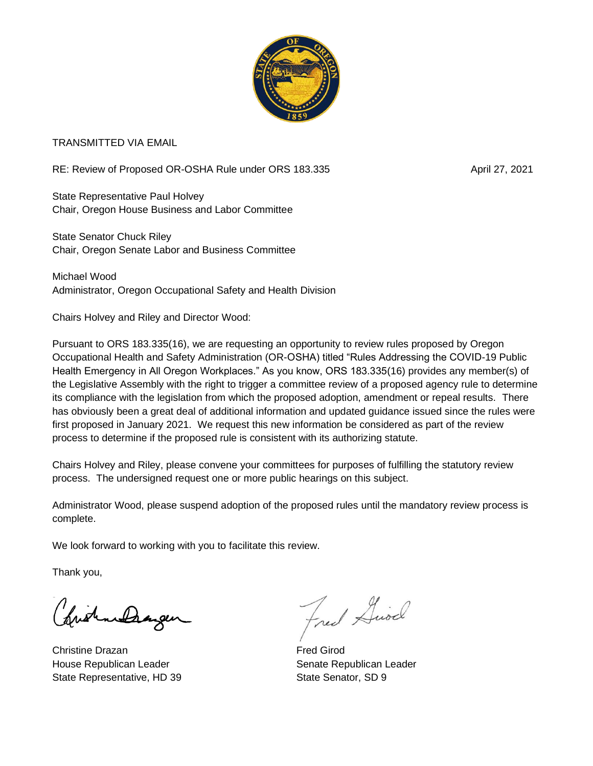

TRANSMITTED VIA EMAIL

RE: Review of Proposed OR-OSHA Rule under ORS 183.335 April 27, 2021

State Representative Paul Holvey Chair, Oregon House Business and Labor Committee

State Senator Chuck Riley Chair, Oregon Senate Labor and Business Committee

Michael Wood Administrator, Oregon Occupational Safety and Health Division

Chairs Holvey and Riley and Director Wood:

Pursuant to ORS 183.335(16), we are requesting an opportunity to review rules proposed by Oregon Occupational Health and Safety Administration (OR-OSHA) titled "Rules Addressing the COVID-19 Public Health Emergency in All Oregon Workplaces." As you know, ORS 183.335(16) provides any member(s) of the Legislative Assembly with the right to trigger a committee review of a proposed agency rule to determine its compliance with the legislation from which the proposed adoption, amendment or repeal results. There has obviously been a great deal of additional information and updated guidance issued since the rules were first proposed in January 2021. We request this new information be considered as part of the review process to determine if the proposed rule is consistent with its authorizing statute.

Chairs Holvey and Riley, please convene your committees for purposes of fulfilling the statutory review process. The undersigned request one or more public hearings on this subject.

Administrator Wood, please suspend adoption of the proposed rules until the mandatory review process is complete.

We look forward to working with you to facilitate this review.

Thank you,

frist methorgen

Christine Drazan **Fred Girod** House Republican Leader New York Senate Republican Leader State Representative, HD 39 State Senator, SD 9

Fred Giod